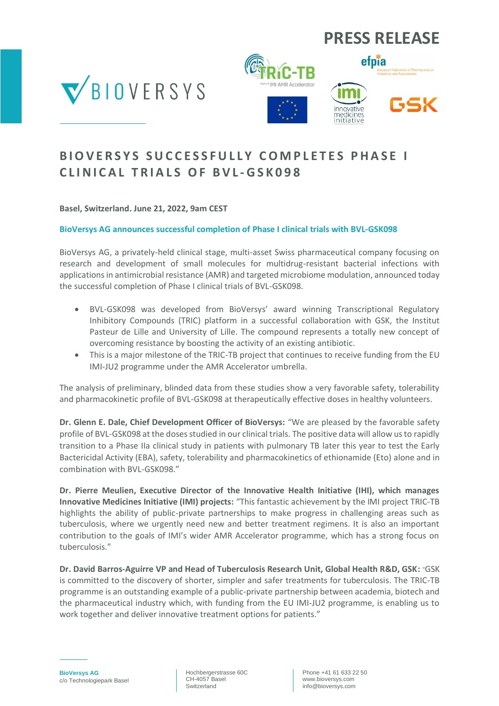# **PRESS RELEASE**







### **B I O V E R S Y S S U C C E S S F U L L Y C O M P L E T E S P H A S E I C L I N I C A L T R I A L S O F B V L - G S K 0 9 8**

**Basel, Switzerland. June 21, 2022, 9am CEST**

### **BioVersys AG announces successful completion of Phase I clinical trials with BVL-GSK098**

BioVersys AG, a privately-held clinical stage, multi-asset Swiss pharmaceutical company focusing on research and development of small molecules for multidrug-resistant bacterial infections with applications in antimicrobial resistance (AMR) and targeted microbiome modulation, announced today the successful completion of Phase I clinical trials of BVL-GSK098.

- BVL-GSK098 was developed from BioVersys' award winning Transcriptional Regulatory Inhibitory Compounds (TRIC) platform in a successful collaboration with GSK, the Institut Pasteur de Lille and University of Lille. The compound represents a totally new concept of overcoming resistance by boosting the activity of an existing antibiotic.
- This is a major milestone of the TRIC-TB project that continues to receive funding from the EU IMI-JU2 programme under the AMR Accelerator umbrella.

The analysis of preliminary, blinded data from these studies show a very favorable safety, tolerability and pharmacokinetic profile of BVL-GSK098 at therapeutically effective doses in healthy volunteers.

**Dr. Glenn E. Dale, Chief Development Officer of BioVersys:** "We are pleased by the favorable safety profile of BVL-GSK098 at the doses studied in our clinical trials. The positive data will allow us to rapidly transition to a Phase IIa clinical study in patients with pulmonary TB later this year to test the Early Bactericidal Activity (EBA), safety, tolerability and pharmacokinetics of ethionamide (Eto) alone and in combination with BVL-GSK098."

**Dr. Pierre Meulien, Executive Director of the Innovative Health Initiative (IHI), which manages Innovative Medicines Initiative (IMI) projects:** "This fantastic achievement by the IMI project TRIC-TB highlights the ability of public-private partnerships to make progress in challenging areas such as tuberculosis, where we urgently need new and better treatment regimens. It is also an important contribution to the goals of IMI's wider AMR Accelerator programme, which has a strong focus on tuberculosis."

**Dr. David Barros-Aguirre VP and Head of Tuberculosis Research Unit, Global Health R&D, GSK:** "GSK is committed to the discovery of shorter, simpler and safer treatments for tuberculosis. The TRIC-TB programme is an outstanding example of a public-private partnership between academia, biotech and the pharmaceutical industry which, with funding from the EU IMI-JU2 programme, is enabling us to work together and deliver innovative treatment options for patients."

Hochbergerstrasse 60C CH-4057 Basel Switzerland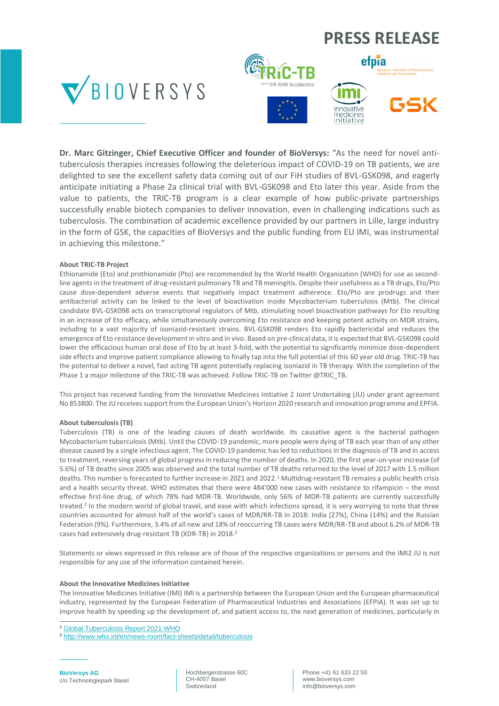### **PRESS RELEASE**







**Dr. Marc Gitzinger, Chief Executive Officer and founder of BioVersys:** "As the need for novel antituberculosis therapies increases following the deleterious impact of COVID-19 on TB patients, we are delighted to see the excellent safety data coming out of our FiH studies of BVL-GSK098, and eagerly anticipate initiating a Phase 2a clinical trial with BVL-GSK098 and Eto later this year. Aside from the value to patients, the TRIC-TB program is a clear example of how public-private partnerships successfully enable biotech companies to deliver innovation, even in challenging indications such as tuberculosis. The combination of academic excellence provided by our partners in Lille, large industry in the form of GSK, the capacities of BioVersys and the public funding from EU IMI, was instrumental in achieving this milestone."

#### **About TRIC-TB Project**

Ethionamide (Eto) and prothionamide (Pto) are recommended by the World Health Organization (WHO) for use as secondline agents in the treatment of drug-resistant pulmonary TB and TB meningitis. Despite their usefulness as a TB drugs, Eto/Pto cause dose-dependent adverse events that negatively impact treatment adherence. Eto/Pto are prodrugs and their antibacterial activity can be linked to the level of bioactivation inside Mycobacterium tuberculosis (Mtb). The clinical candidate BVL-GSK098 acts on transcriptional regulators of Mtb, stimulating novel bioactivation pathways for Eto resulting in an increase of Eto efficacy, while simultaneously overcoming Eto resistance and keeping potent activity on MDR strains, including to a vast majority of isoniazid-resistant strains. BVL-GSK098 renders Eto rapidly bactericidal and reduces the emergence of Eto resistance development in vitro and in vivo. Based on pre-clinical data, it is expected that BVL-GSK098 could lower the efficacious human oral dose of Eto by at least 3-fold, with the potential to significantly minimize dose-dependent side effects and improve patient compliance allowing to finally tap into the full potential of this 60 year old drug. TRIC-TB has the potential to deliver a novel, fast acting TB agent potentially replacing isoniazid in TB therapy. With the completion of the Phase 1 a major milestone of the TRIC-TB was achieved. Follow TRIC-TB on Twitter @TRIC\_TB.

This project has received funding from the Innovative Medicines Initiative 2 Joint Undertaking (JU) under grant agreement No 853800. The JU receives support from the European Union's Horizon 2020 research and innovation programme and EPFIA.

#### **About tuberculosis (TB)**

Tuberculosis (TB) is one of the leading causes of death worldwide. Its causative agent is the bacterial pathogen Mycobacterium tuberculosis (Mtb). Until the COVID-19 pandemic, more people were dying of TB each year than of any other disease caused by a single infectious agent. The COVID-19 pandemic has led to reductions in the diagnosis of TB and in access to treatment, reversing years of global progress in reducing the number of deaths. In 2020, the first year-on-year increase (of 5.6%) of TB deaths since 2005 was observed and the total number of TB deaths returned to the level of 2017 with 1.5 million deaths. This number is forecasted to further increase in 2021 and 2022.<sup>1</sup> Multidrug-resistant TB remains a public health crisis and a health security threat. WHO estimates that there were 484'000 new cases with resistance to rifampicin – the most effective first-line drug, of which 78% had MDR-TB. Worldwide, only 56% of MDR-TB patients are currently successfully treated.<sup>2</sup> In the modern world of global travel, and ease with which infections spread, it is very worrying to note that three countries accounted for almost half of the world's cases of MDR/RR-TB in 2018: India (27%), China (14%) and the Russian Federation (9%). Furthermore, 3.4% of all new and 18% of reoccurring TB cases were MDR/RR-TB and about 6.2% of MDR-TB cases had extensively drug-resistant TB (XDR-TB) in 2018.<sup>2</sup>

Statements or views expressed in this release are of those of the respective organizations or persons and the IMI2 JU is not responsible for any use of the information contained herein.

#### **About the Innovative Medicines Initiative**

The Innovative Medicines Initiative (IMI) IMI is a partnership between the European Union and the European pharmaceutical industry, represented by the European Federation of Pharmaceutical Industries and Associations (EFPIA). It was set up to improve health by speeding up the development of, and patient access to, the next generation of medicines, particularly in

**BioVersys AG** c/o Technologiepark Basel Hochbergerstrasse 60C CH-4057 Basel Switzerland

Phone +41 61 633 22 50 www.bioversys.com info@bioversys.com

<sup>1</sup> [Global Tuberculosis Report 2021](https://www.who.int/publications/i/item/9789240037021) WHO

<sup>2</sup> <http://www.who.int/en/news-room/fact-sheets/detail/tuberculosis>